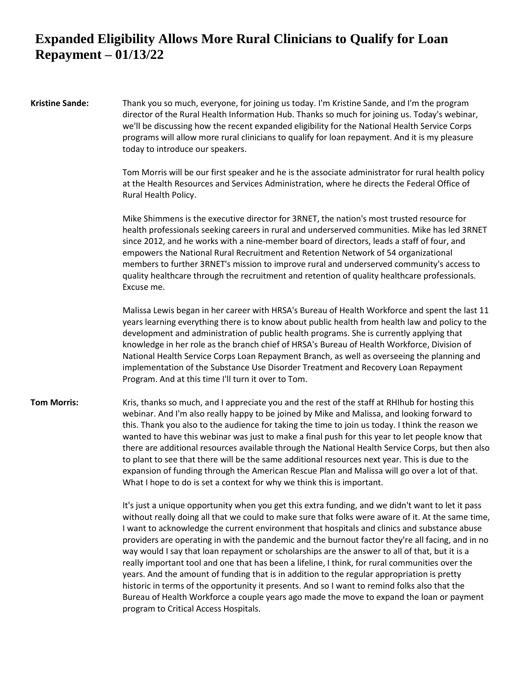**Kristine Sande:** Thank you so much, everyone, for joining us today. I'm Kristine Sande, and I'm the program director of the Rural Health Information Hub. Thanks so much for joining us. Today's webinar, we'll be discussing how the recent expanded eligibility for the National Health Service Corps programs will allow more rural clinicians to qualify for loan repayment. And it is my pleasure today to introduce our speakers.

> Tom Morris will be our first speaker and he is the associate administrator for rural health policy at the Health Resources and Services Administration, where he directs the Federal Office of Rural Health Policy.

> Mike Shimmens is the executive director for 3RNET, the nation's most trusted resource for health professionals seeking careers in rural and underserved communities. Mike has led 3RNET since 2012, and he works with a nine-member board of directors, leads a staff of four, and empowers the National Rural Recruitment and Retention Network of 54 organizational members to further 3RNET's mission to improve rural and underserved community's access to quality healthcare through the recruitment and retention of quality healthcare professionals. Excuse me.

> Malissa Lewis began in her career with HRSA's Bureau of Health Workforce and spent the last 11 years learning everything there is to know about public health from health law and policy to the development and administration of public health programs. She is currently applying that knowledge in her role as the branch chief of HRSA's Bureau of Health Workforce, Division of National Health Service Corps Loan Repayment Branch, as well as overseeing the planning and implementation of the Substance Use Disorder Treatment and Recovery Loan Repayment Program. And at this time I'll turn it over to Tom.

**Tom Morris:** Kris, thanks so much, and I appreciate you and the rest of the staff at RHIhub for hosting this webinar. And I'm also really happy to be joined by Mike and Malissa, and looking forward to this. Thank you also to the audience for taking the time to join us today. I think the reason we wanted to have this webinar was just to make a final push for this year to let people know that there are additional resources available through the National Health Service Corps, but then also to plant to see that there will be the same additional resources next year. This is due to the expansion of funding through the American Rescue Plan and Malissa will go over a lot of that. What I hope to do is set a context for why we think this is important.

> It's just a unique opportunity when you get this extra funding, and we didn't want to let it pass without really doing all that we could to make sure that folks were aware of it. At the same time, I want to acknowledge the current environment that hospitals and clinics and substance abuse providers are operating in with the pandemic and the burnout factor they're all facing, and in no way would I say that loan repayment or scholarships are the answer to all of that, but it is a really important tool and one that has been a lifeline, I think, for rural communities over the years. And the amount of funding that is in addition to the regular appropriation is pretty historic in terms of the opportunity it presents. And so I want to remind folks also that the Bureau of Health Workforce a couple years ago made the move to expand the loan or payment program to Critical Access Hospitals.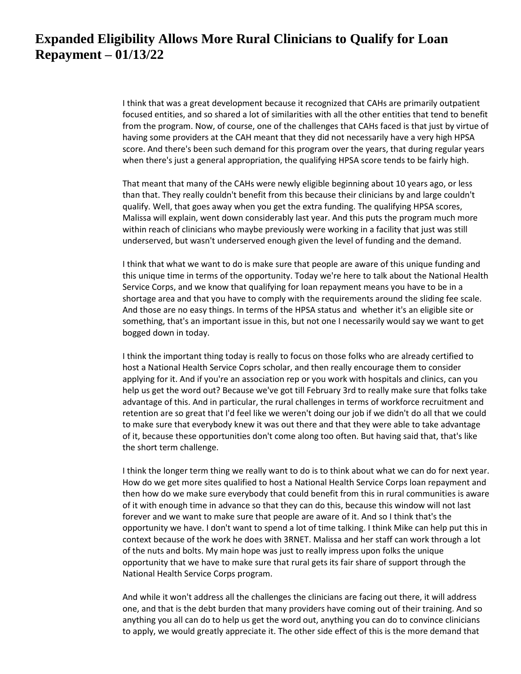I think that was a great development because it recognized that CAHs are primarily outpatient focused entities, and so shared a lot of similarities with all the other entities that tend to benefit from the program. Now, of course, one of the challenges that CAHs faced is that just by virtue of having some providers at the CAH meant that they did not necessarily have a very high HPSA score. And there's been such demand for this program over the years, that during regular years when there's just a general appropriation, the qualifying HPSA score tends to be fairly high.

That meant that many of the CAHs were newly eligible beginning about 10 years ago, or less than that. They really couldn't benefit from this because their clinicians by and large couldn't qualify. Well, that goes away when you get the extra funding. The qualifying HPSA scores, Malissa will explain, went down considerably last year. And this puts the program much more within reach of clinicians who maybe previously were working in a facility that just was still underserved, but wasn't underserved enough given the level of funding and the demand.

I think that what we want to do is make sure that people are aware of this unique funding and this unique time in terms of the opportunity. Today we're here to talk about the National Health Service Corps, and we know that qualifying for loan repayment means you have to be in a shortage area and that you have to comply with the requirements around the sliding fee scale. And those are no easy things. In terms of the HPSA status and whether it's an eligible site or something, that's an important issue in this, but not one I necessarily would say we want to get bogged down in today.

I think the important thing today is really to focus on those folks who are already certified to host a National Health Service Coprs scholar, and then really encourage them to consider applying for it. And if you're an association rep or you work with hospitals and clinics, can you help us get the word out? Because we've got till February 3rd to really make sure that folks take advantage of this. And in particular, the rural challenges in terms of workforce recruitment and retention are so great that I'd feel like we weren't doing our job if we didn't do all that we could to make sure that everybody knew it was out there and that they were able to take advantage of it, because these opportunities don't come along too often. But having said that, that's like the short term challenge.

I think the longer term thing we really want to do is to think about what we can do for next year. How do we get more sites qualified to host a National Health Service Corps loan repayment and then how do we make sure everybody that could benefit from this in rural communities is aware of it with enough time in advance so that they can do this, because this window will not last forever and we want to make sure that people are aware of it. And so I think that's the opportunity we have. I don't want to spend a lot of time talking. I think Mike can help put this in context because of the work he does with 3RNET. Malissa and her staff can work through a lot of the nuts and bolts. My main hope was just to really impress upon folks the unique opportunity that we have to make sure that rural gets its fair share of support through the National Health Service Corps program.

And while it won't address all the challenges the clinicians are facing out there, it will address one, and that is the debt burden that many providers have coming out of their training. And so anything you all can do to help us get the word out, anything you can do to convince clinicians to apply, we would greatly appreciate it. The other side effect of this is the more demand that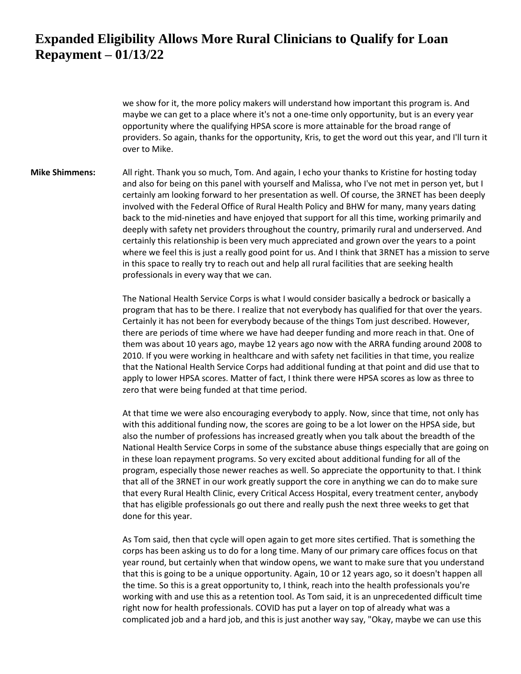we show for it, the more policy makers will understand how important this program is. And maybe we can get to a place where it's not a one-time only opportunity, but is an every year opportunity where the qualifying HPSA score is more attainable for the broad range of providers. So again, thanks for the opportunity, Kris, to get the word out this year, and I'll turn it over to Mike.

**Mike Shimmens:** All right. Thank you so much, Tom. And again, I echo your thanks to Kristine for hosting today and also for being on this panel with yourself and Malissa, who I've not met in person yet, but I certainly am looking forward to her presentation as well. Of course, the 3RNET has been deeply involved with the Federal Office of Rural Health Policy and BHW for many, many years dating back to the mid-nineties and have enjoyed that support for all this time, working primarily and deeply with safety net providers throughout the country, primarily rural and underserved. And certainly this relationship is been very much appreciated and grown over the years to a point where we feel this is just a really good point for us. And I think that 3RNET has a mission to serve in this space to really try to reach out and help all rural facilities that are seeking health professionals in every way that we can.

> The National Health Service Corps is what I would consider basically a bedrock or basically a program that has to be there. I realize that not everybody has qualified for that over the years. Certainly it has not been for everybody because of the things Tom just described. However, there are periods of time where we have had deeper funding and more reach in that. One of them was about 10 years ago, maybe 12 years ago now with the ARRA funding around 2008 to 2010. If you were working in healthcare and with safety net facilities in that time, you realize that the National Health Service Corps had additional funding at that point and did use that to apply to lower HPSA scores. Matter of fact, I think there were HPSA scores as low as three to zero that were being funded at that time period.

At that time we were also encouraging everybody to apply. Now, since that time, not only has with this additional funding now, the scores are going to be a lot lower on the HPSA side, but also the number of professions has increased greatly when you talk about the breadth of the National Health Service Corps in some of the substance abuse things especially that are going on in these loan repayment programs. So very excited about additional funding for all of the program, especially those newer reaches as well. So appreciate the opportunity to that. I think that all of the 3RNET in our work greatly support the core in anything we can do to make sure that every Rural Health Clinic, every Critical Access Hospital, every treatment center, anybody that has eligible professionals go out there and really push the next three weeks to get that done for this year.

As Tom said, then that cycle will open again to get more sites certified. That is something the corps has been asking us to do for a long time. Many of our primary care offices focus on that year round, but certainly when that window opens, we want to make sure that you understand that this is going to be a unique opportunity. Again, 10 or 12 years ago, so it doesn't happen all the time. So this is a great opportunity to, I think, reach into the health professionals you're working with and use this as a retention tool. As Tom said, it is an unprecedented difficult time right now for health professionals. COVID has put a layer on top of already what was a complicated job and a hard job, and this is just another way say, "Okay, maybe we can use this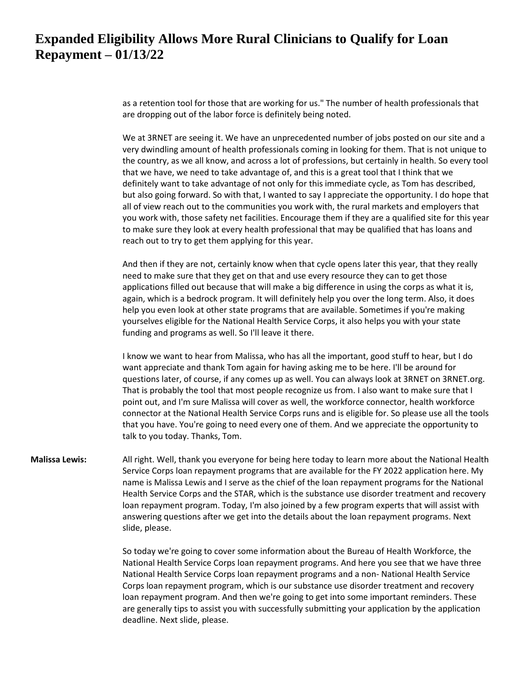as a retention tool for those that are working for us." The number of health professionals that are dropping out of the labor force is definitely being noted.

We at 3RNET are seeing it. We have an unprecedented number of jobs posted on our site and a very dwindling amount of health professionals coming in looking for them. That is not unique to the country, as we all know, and across a lot of professions, but certainly in health. So every tool that we have, we need to take advantage of, and this is a great tool that I think that we definitely want to take advantage of not only for this immediate cycle, as Tom has described, but also going forward. So with that, I wanted to say I appreciate the opportunity. I do hope that all of view reach out to the communities you work with, the rural markets and employers that you work with, those safety net facilities. Encourage them if they are a qualified site for this year to make sure they look at every health professional that may be qualified that has loans and reach out to try to get them applying for this year.

And then if they are not, certainly know when that cycle opens later this year, that they really need to make sure that they get on that and use every resource they can to get those applications filled out because that will make a big difference in using the corps as what it is, again, which is a bedrock program. It will definitely help you over the long term. Also, it does help you even look at other state programs that are available. Sometimes if you're making yourselves eligible for the National Health Service Corps, it also helps you with your state funding and programs as well. So I'll leave it there.

I know we want to hear from Malissa, who has all the important, good stuff to hear, but I do want appreciate and thank Tom again for having asking me to be here. I'll be around for questions later, of course, if any comes up as well. You can always look at 3RNET on 3RNET.org. That is probably the tool that most people recognize us from. I also want to make sure that I point out, and I'm sure Malissa will cover as well, the workforce connector, health workforce connector at the National Health Service Corps runs and is eligible for. So please use all the tools that you have. You're going to need every one of them. And we appreciate the opportunity to talk to you today. Thanks, Tom.

**Malissa Lewis:** All right. Well, thank you everyone for being here today to learn more about the National Health Service Corps loan repayment programs that are available for the FY 2022 application here. My name is Malissa Lewis and I serve as the chief of the loan repayment programs for the National Health Service Corps and the STAR, which is the substance use disorder treatment and recovery loan repayment program. Today, I'm also joined by a few program experts that will assist with answering questions after we get into the details about the loan repayment programs. Next slide, please.

> So today we're going to cover some information about the Bureau of Health Workforce, the National Health Service Corps loan repayment programs. And here you see that we have three National Health Service Corps loan repayment programs and a non- National Health Service Corps loan repayment program, which is our substance use disorder treatment and recovery loan repayment program. And then we're going to get into some important reminders. These are generally tips to assist you with successfully submitting your application by the application deadline. Next slide, please.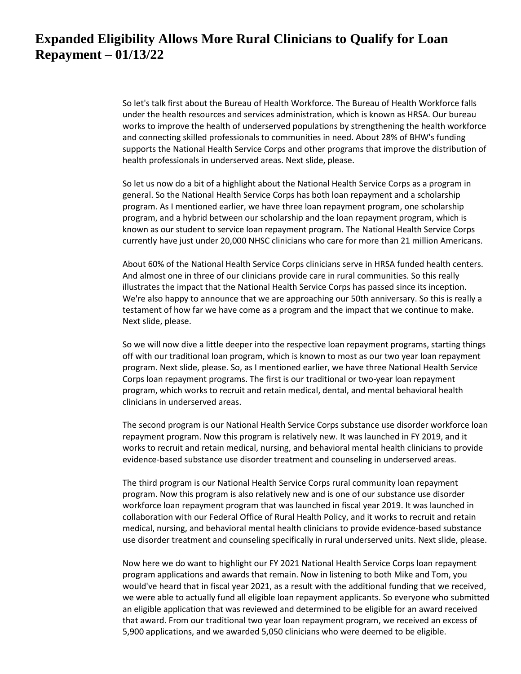So let's talk first about the Bureau of Health Workforce. The Bureau of Health Workforce falls under the health resources and services administration, which is known as HRSA. Our bureau works to improve the health of underserved populations by strengthening the health workforce and connecting skilled professionals to communities in need. About 28% of BHW's funding supports the National Health Service Corps and other programs that improve the distribution of health professionals in underserved areas. Next slide, please.

So let us now do a bit of a highlight about the National Health Service Corps as a program in general. So the National Health Service Corps has both loan repayment and a scholarship program. As I mentioned earlier, we have three loan repayment program, one scholarship program, and a hybrid between our scholarship and the loan repayment program, which is known as our student to service loan repayment program. The National Health Service Corps currently have just under 20,000 NHSC clinicians who care for more than 21 million Americans.

About 60% of the National Health Service Corps clinicians serve in HRSA funded health centers. And almost one in three of our clinicians provide care in rural communities. So this really illustrates the impact that the National Health Service Corps has passed since its inception. We're also happy to announce that we are approaching our 50th anniversary. So this is really a testament of how far we have come as a program and the impact that we continue to make. Next slide, please.

So we will now dive a little deeper into the respective loan repayment programs, starting things off with our traditional loan program, which is known to most as our two year loan repayment program. Next slide, please. So, as I mentioned earlier, we have three National Health Service Corps loan repayment programs. The first is our traditional or two-year loan repayment program, which works to recruit and retain medical, dental, and mental behavioral health clinicians in underserved areas.

The second program is our National Health Service Corps substance use disorder workforce loan repayment program. Now this program is relatively new. It was launched in FY 2019, and it works to recruit and retain medical, nursing, and behavioral mental health clinicians to provide evidence-based substance use disorder treatment and counseling in underserved areas.

The third program is our National Health Service Corps rural community loan repayment program. Now this program is also relatively new and is one of our substance use disorder workforce loan repayment program that was launched in fiscal year 2019. It was launched in collaboration with our Federal Office of Rural Health Policy, and it works to recruit and retain medical, nursing, and behavioral mental health clinicians to provide evidence-based substance use disorder treatment and counseling specifically in rural underserved units. Next slide, please.

Now here we do want to highlight our FY 2021 National Health Service Corps loan repayment program applications and awards that remain. Now in listening to both Mike and Tom, you would've heard that in fiscal year 2021, as a result with the additional funding that we received, we were able to actually fund all eligible loan repayment applicants. So everyone who submitted an eligible application that was reviewed and determined to be eligible for an award received that award. From our traditional two year loan repayment program, we received an excess of 5,900 applications, and we awarded 5,050 clinicians who were deemed to be eligible.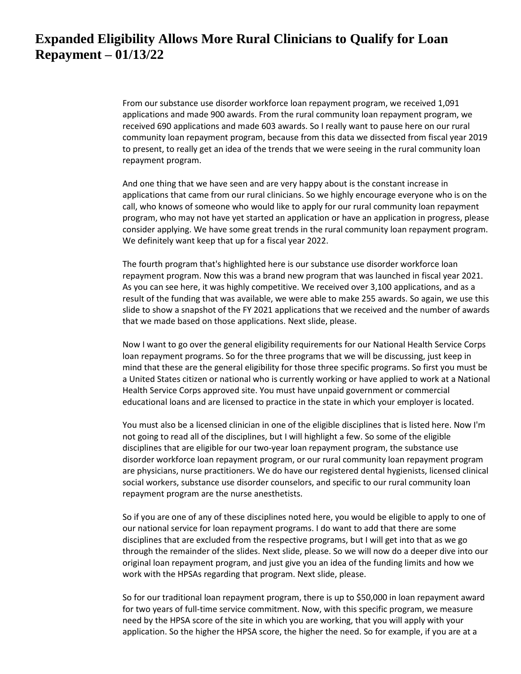From our substance use disorder workforce loan repayment program, we received 1,091 applications and made 900 awards. From the rural community loan repayment program, we received 690 applications and made 603 awards. So I really want to pause here on our rural community loan repayment program, because from this data we dissected from fiscal year 2019 to present, to really get an idea of the trends that we were seeing in the rural community loan repayment program.

And one thing that we have seen and are very happy about is the constant increase in applications that came from our rural clinicians. So we highly encourage everyone who is on the call, who knows of someone who would like to apply for our rural community loan repayment program, who may not have yet started an application or have an application in progress, please consider applying. We have some great trends in the rural community loan repayment program. We definitely want keep that up for a fiscal year 2022.

The fourth program that's highlighted here is our substance use disorder workforce loan repayment program. Now this was a brand new program that was launched in fiscal year 2021. As you can see here, it was highly competitive. We received over 3,100 applications, and as a result of the funding that was available, we were able to make 255 awards. So again, we use this slide to show a snapshot of the FY 2021 applications that we received and the number of awards that we made based on those applications. Next slide, please.

Now I want to go over the general eligibility requirements for our National Health Service Corps loan repayment programs. So for the three programs that we will be discussing, just keep in mind that these are the general eligibility for those three specific programs. So first you must be a United States citizen or national who is currently working or have applied to work at a National Health Service Corps approved site. You must have unpaid government or commercial educational loans and are licensed to practice in the state in which your employer is located.

You must also be a licensed clinician in one of the eligible disciplines that is listed here. Now I'm not going to read all of the disciplines, but I will highlight a few. So some of the eligible disciplines that are eligible for our two-year loan repayment program, the substance use disorder workforce loan repayment program, or our rural community loan repayment program are physicians, nurse practitioners. We do have our registered dental hygienists, licensed clinical social workers, substance use disorder counselors, and specific to our rural community loan repayment program are the nurse anesthetists.

So if you are one of any of these disciplines noted here, you would be eligible to apply to one of our national service for loan repayment programs. I do want to add that there are some disciplines that are excluded from the respective programs, but I will get into that as we go through the remainder of the slides. Next slide, please. So we will now do a deeper dive into our original loan repayment program, and just give you an idea of the funding limits and how we work with the HPSAs regarding that program. Next slide, please.

So for our traditional loan repayment program, there is up to \$50,000 in loan repayment award for two years of full-time service commitment. Now, with this specific program, we measure need by the HPSA score of the site in which you are working, that you will apply with your application. So the higher the HPSA score, the higher the need. So for example, if you are at a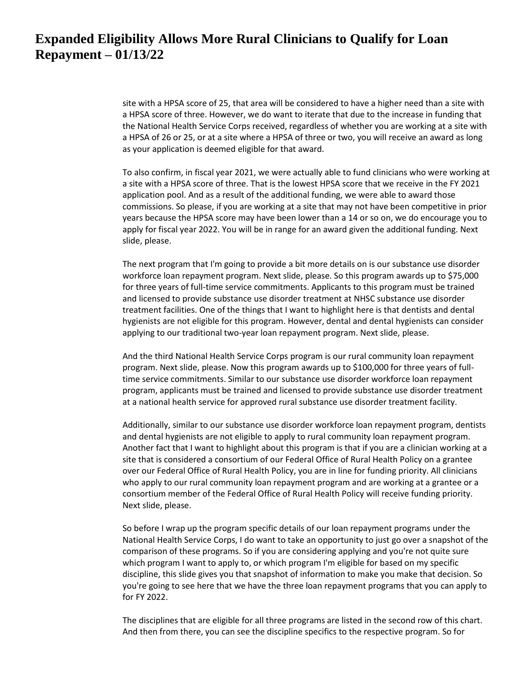site with a HPSA score of 25, that area will be considered to have a higher need than a site with a HPSA score of three. However, we do want to iterate that due to the increase in funding that the National Health Service Corps received, regardless of whether you are working at a site with a HPSA of 26 or 25, or at a site where a HPSA of three or two, you will receive an award as long as your application is deemed eligible for that award.

To also confirm, in fiscal year 2021, we were actually able to fund clinicians who were working at a site with a HPSA score of three. That is the lowest HPSA score that we receive in the FY 2021 application pool. And as a result of the additional funding, we were able to award those commissions. So please, if you are working at a site that may not have been competitive in prior years because the HPSA score may have been lower than a 14 or so on, we do encourage you to apply for fiscal year 2022. You will be in range for an award given the additional funding. Next slide, please.

The next program that I'm going to provide a bit more details on is our substance use disorder workforce loan repayment program. Next slide, please. So this program awards up to \$75,000 for three years of full-time service commitments. Applicants to this program must be trained and licensed to provide substance use disorder treatment at NHSC substance use disorder treatment facilities. One of the things that I want to highlight here is that dentists and dental hygienists are not eligible for this program. However, dental and dental hygienists can consider applying to our traditional two-year loan repayment program. Next slide, please.

And the third National Health Service Corps program is our rural community loan repayment program. Next slide, please. Now this program awards up to \$100,000 for three years of fulltime service commitments. Similar to our substance use disorder workforce loan repayment program, applicants must be trained and licensed to provide substance use disorder treatment at a national health service for approved rural substance use disorder treatment facility.

Additionally, similar to our substance use disorder workforce loan repayment program, dentists and dental hygienists are not eligible to apply to rural community loan repayment program. Another fact that I want to highlight about this program is that if you are a clinician working at a site that is considered a consortium of our Federal Office of Rural Health Policy on a grantee over our Federal Office of Rural Health Policy, you are in line for funding priority. All clinicians who apply to our rural community loan repayment program and are working at a grantee or a consortium member of the Federal Office of Rural Health Policy will receive funding priority. Next slide, please.

So before I wrap up the program specific details of our loan repayment programs under the National Health Service Corps, I do want to take an opportunity to just go over a snapshot of the comparison of these programs. So if you are considering applying and you're not quite sure which program I want to apply to, or which program I'm eligible for based on my specific discipline, this slide gives you that snapshot of information to make you make that decision. So you're going to see here that we have the three loan repayment programs that you can apply to for FY 2022.

The disciplines that are eligible for all three programs are listed in the second row of this chart. And then from there, you can see the discipline specifics to the respective program. So for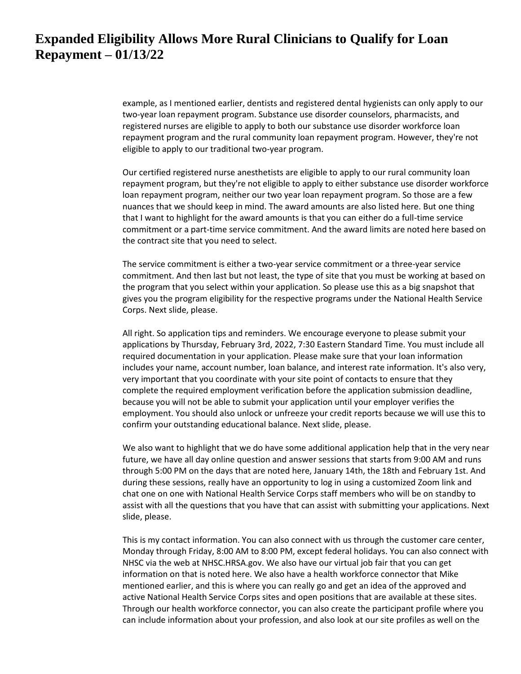example, as I mentioned earlier, dentists and registered dental hygienists can only apply to our two-year loan repayment program. Substance use disorder counselors, pharmacists, and registered nurses are eligible to apply to both our substance use disorder workforce loan repayment program and the rural community loan repayment program. However, they're not eligible to apply to our traditional two-year program.

Our certified registered nurse anesthetists are eligible to apply to our rural community loan repayment program, but they're not eligible to apply to either substance use disorder workforce loan repayment program, neither our two year loan repayment program. So those are a few nuances that we should keep in mind. The award amounts are also listed here. But one thing that I want to highlight for the award amounts is that you can either do a full-time service commitment or a part-time service commitment. And the award limits are noted here based on the contract site that you need to select.

The service commitment is either a two-year service commitment or a three-year service commitment. And then last but not least, the type of site that you must be working at based on the program that you select within your application. So please use this as a big snapshot that gives you the program eligibility for the respective programs under the National Health Service Corps. Next slide, please.

All right. So application tips and reminders. We encourage everyone to please submit your applications by Thursday, February 3rd, 2022, 7:30 Eastern Standard Time. You must include all required documentation in your application. Please make sure that your loan information includes your name, account number, loan balance, and interest rate information. It's also very, very important that you coordinate with your site point of contacts to ensure that they complete the required employment verification before the application submission deadline, because you will not be able to submit your application until your employer verifies the employment. You should also unlock or unfreeze your credit reports because we will use this to confirm your outstanding educational balance. Next slide, please.

We also want to highlight that we do have some additional application help that in the very near future, we have all day online question and answer sessions that starts from 9:00 AM and runs through 5:00 PM on the days that are noted here, January 14th, the 18th and February 1st. And during these sessions, really have an opportunity to log in using a customized Zoom link and chat one on one with National Health Service Corps staff members who will be on standby to assist with all the questions that you have that can assist with submitting your applications. Next slide, please.

This is my contact information. You can also connect with us through the customer care center, Monday through Friday, 8:00 AM to 8:00 PM, except federal holidays. You can also connect with NHSC via the web at NHSC.HRSA.gov. We also have our virtual job fair that you can get information on that is noted here. We also have a health workforce connector that Mike mentioned earlier, and this is where you can really go and get an idea of the approved and active National Health Service Corps sites and open positions that are available at these sites. Through our health workforce connector, you can also create the participant profile where you can include information about your profession, and also look at our site profiles as well on the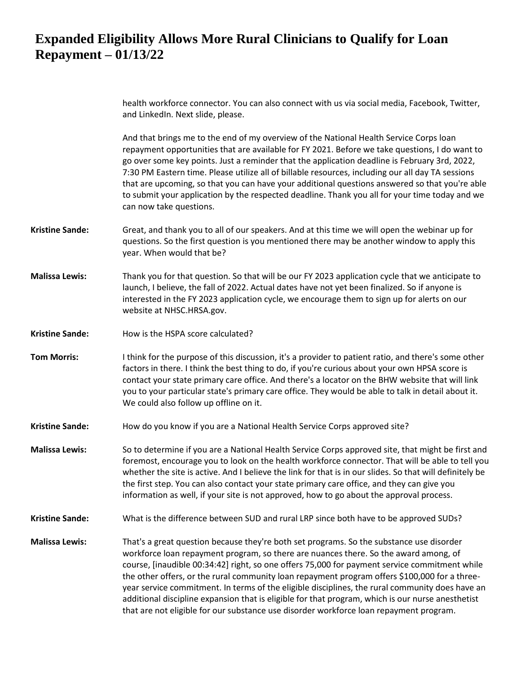health workforce connector. You can also connect with us via social media, Facebook, Twitter, and LinkedIn. Next slide, please.

And that brings me to the end of my overview of the National Health Service Corps loan repayment opportunities that are available for FY 2021. Before we take questions, I do want to go over some key points. Just a reminder that the application deadline is February 3rd, 2022, 7:30 PM Eastern time. Please utilize all of billable resources, including our all day TA sessions that are upcoming, so that you can have your additional questions answered so that you're able to submit your application by the respected deadline. Thank you all for your time today and we can now take questions.

- **Kristine Sande:** Great, and thank you to all of our speakers. And at this time we will open the webinar up for questions. So the first question is you mentioned there may be another window to apply this year. When would that be?
- **Malissa Lewis:** Thank you for that question. So that will be our FY 2023 application cycle that we anticipate to launch, I believe, the fall of 2022. Actual dates have not yet been finalized. So if anyone is interested in the FY 2023 application cycle, we encourage them to sign up for alerts on our website at NHSC.HRSA.gov.
- **Kristine Sande:** How is the HSPA score calculated?
- **Tom Morris:** I think for the purpose of this discussion, it's a provider to patient ratio, and there's some other factors in there. I think the best thing to do, if you're curious about your own HPSA score is contact your state primary care office. And there's a locator on the BHW website that will link you to your particular state's primary care office. They would be able to talk in detail about it. We could also follow up offline on it.
- **Kristine Sande:** How do you know if you are a National Health Service Corps approved site?
- **Malissa Lewis:** So to determine if you are a National Health Service Corps approved site, that might be first and foremost, encourage you to look on the health workforce connector. That will be able to tell you whether the site is active. And I believe the link for that is in our slides. So that will definitely be the first step. You can also contact your state primary care office, and they can give you information as well, if your site is not approved, how to go about the approval process.

#### **Kristine Sande:** What is the difference between SUD and rural LRP since both have to be approved SUDs?

**Malissa Lewis:** That's a great question because they're both set programs. So the substance use disorder workforce loan repayment program, so there are nuances there. So the award among, of course, [inaudible 00:34:42] right, so one offers 75,000 for payment service commitment while the other offers, or the rural community loan repayment program offers \$100,000 for a threeyear service commitment. In terms of the eligible disciplines, the rural community does have an additional discipline expansion that is eligible for that program, which is our nurse anesthetist that are not eligible for our substance use disorder workforce loan repayment program.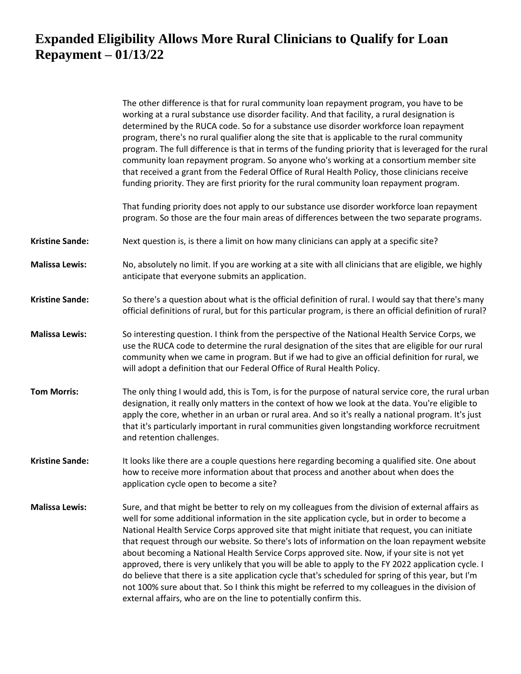|                        | The other difference is that for rural community loan repayment program, you have to be<br>working at a rural substance use disorder facility. And that facility, a rural designation is<br>determined by the RUCA code. So for a substance use disorder workforce loan repayment<br>program, there's no rural qualifier along the site that is applicable to the rural community<br>program. The full difference is that in terms of the funding priority that is leveraged for the rural<br>community loan repayment program. So anyone who's working at a consortium member site<br>that received a grant from the Federal Office of Rural Health Policy, those clinicians receive<br>funding priority. They are first priority for the rural community loan repayment program.                                                                                                        |
|------------------------|-------------------------------------------------------------------------------------------------------------------------------------------------------------------------------------------------------------------------------------------------------------------------------------------------------------------------------------------------------------------------------------------------------------------------------------------------------------------------------------------------------------------------------------------------------------------------------------------------------------------------------------------------------------------------------------------------------------------------------------------------------------------------------------------------------------------------------------------------------------------------------------------|
|                        | That funding priority does not apply to our substance use disorder workforce loan repayment<br>program. So those are the four main areas of differences between the two separate programs.                                                                                                                                                                                                                                                                                                                                                                                                                                                                                                                                                                                                                                                                                                |
| <b>Kristine Sande:</b> | Next question is, is there a limit on how many clinicians can apply at a specific site?                                                                                                                                                                                                                                                                                                                                                                                                                                                                                                                                                                                                                                                                                                                                                                                                   |
| <b>Malissa Lewis:</b>  | No, absolutely no limit. If you are working at a site with all clinicians that are eligible, we highly<br>anticipate that everyone submits an application.                                                                                                                                                                                                                                                                                                                                                                                                                                                                                                                                                                                                                                                                                                                                |
| <b>Kristine Sande:</b> | So there's a question about what is the official definition of rural. I would say that there's many<br>official definitions of rural, but for this particular program, is there an official definition of rural?                                                                                                                                                                                                                                                                                                                                                                                                                                                                                                                                                                                                                                                                          |
| <b>Malissa Lewis:</b>  | So interesting question. I think from the perspective of the National Health Service Corps, we<br>use the RUCA code to determine the rural designation of the sites that are eligible for our rural<br>community when we came in program. But if we had to give an official definition for rural, we<br>will adopt a definition that our Federal Office of Rural Health Policy.                                                                                                                                                                                                                                                                                                                                                                                                                                                                                                           |
| <b>Tom Morris:</b>     | The only thing I would add, this is Tom, is for the purpose of natural service core, the rural urban<br>designation, it really only matters in the context of how we look at the data. You're eligible to<br>apply the core, whether in an urban or rural area. And so it's really a national program. It's just<br>that it's particularly important in rural communities given longstanding workforce recruitment<br>and retention challenges.                                                                                                                                                                                                                                                                                                                                                                                                                                           |
| <b>Kristine Sande:</b> | It looks like there are a couple questions here regarding becoming a qualified site. One about<br>how to receive more information about that process and another about when does the<br>application cycle open to become a site?                                                                                                                                                                                                                                                                                                                                                                                                                                                                                                                                                                                                                                                          |
| <b>Malissa Lewis:</b>  | Sure, and that might be better to rely on my colleagues from the division of external affairs as<br>well for some additional information in the site application cycle, but in order to become a<br>National Health Service Corps approved site that might initiate that request, you can initiate<br>that request through our website. So there's lots of information on the loan repayment website<br>about becoming a National Health Service Corps approved site. Now, if your site is not yet<br>approved, there is very unlikely that you will be able to apply to the FY 2022 application cycle. I<br>do believe that there is a site application cycle that's scheduled for spring of this year, but I'm<br>not 100% sure about that. So I think this might be referred to my colleagues in the division of<br>external affairs, who are on the line to potentially confirm this. |
|                        |                                                                                                                                                                                                                                                                                                                                                                                                                                                                                                                                                                                                                                                                                                                                                                                                                                                                                           |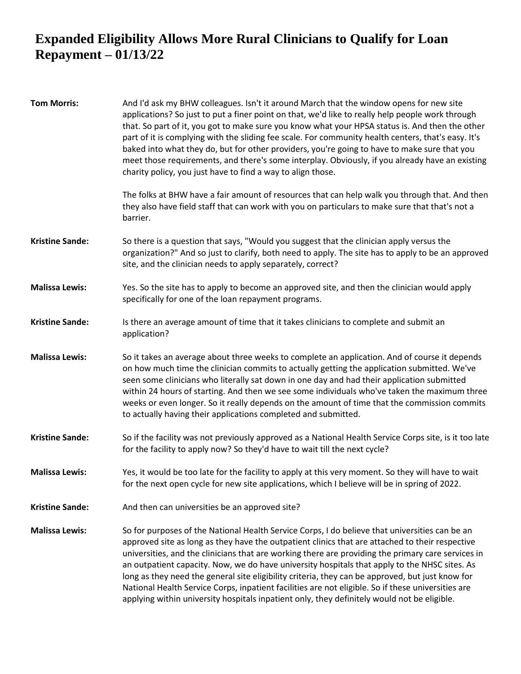| <b>Tom Morris:</b>     | And I'd ask my BHW colleagues. Isn't it around March that the window opens for new site<br>applications? So just to put a finer point on that, we'd like to really help people work through<br>that. So part of it, you got to make sure you know what your HPSA status is. And then the other<br>part of it is complying with the sliding fee scale. For community health centers, that's easy. It's<br>baked into what they do, but for other providers, you're going to have to make sure that you<br>meet those requirements, and there's some interplay. Obviously, if you already have an existing<br>charity policy, you just have to find a way to align those.                                           |
|------------------------|-------------------------------------------------------------------------------------------------------------------------------------------------------------------------------------------------------------------------------------------------------------------------------------------------------------------------------------------------------------------------------------------------------------------------------------------------------------------------------------------------------------------------------------------------------------------------------------------------------------------------------------------------------------------------------------------------------------------|
|                        | The folks at BHW have a fair amount of resources that can help walk you through that. And then<br>they also have field staff that can work with you on particulars to make sure that that's not a<br>barrier.                                                                                                                                                                                                                                                                                                                                                                                                                                                                                                     |
| <b>Kristine Sande:</b> | So there is a question that says, "Would you suggest that the clinician apply versus the<br>organization?" And so just to clarify, both need to apply. The site has to apply to be an approved<br>site, and the clinician needs to apply separately, correct?                                                                                                                                                                                                                                                                                                                                                                                                                                                     |
| <b>Malissa Lewis:</b>  | Yes. So the site has to apply to become an approved site, and then the clinician would apply<br>specifically for one of the loan repayment programs.                                                                                                                                                                                                                                                                                                                                                                                                                                                                                                                                                              |
| <b>Kristine Sande:</b> | Is there an average amount of time that it takes clinicians to complete and submit an<br>application?                                                                                                                                                                                                                                                                                                                                                                                                                                                                                                                                                                                                             |
| <b>Malissa Lewis:</b>  | So it takes an average about three weeks to complete an application. And of course it depends<br>on how much time the clinician commits to actually getting the application submitted. We've<br>seen some clinicians who literally sat down in one day and had their application submitted<br>within 24 hours of starting. And then we see some individuals who've taken the maximum three<br>weeks or even longer. So it really depends on the amount of time that the commission commits<br>to actually having their applications completed and submitted.                                                                                                                                                      |
| <b>Kristine Sande:</b> | So if the facility was not previously approved as a National Health Service Corps site, is it too late<br>for the facility to apply now? So they'd have to wait till the next cycle?                                                                                                                                                                                                                                                                                                                                                                                                                                                                                                                              |
| <b>Malissa Lewis:</b>  | Yes, it would be too late for the facility to apply at this very moment. So they will have to wait<br>for the next open cycle for new site applications, which I believe will be in spring of 2022.                                                                                                                                                                                                                                                                                                                                                                                                                                                                                                               |
| <b>Kristine Sande:</b> | And then can universities be an approved site?                                                                                                                                                                                                                                                                                                                                                                                                                                                                                                                                                                                                                                                                    |
| <b>Malissa Lewis:</b>  | So for purposes of the National Health Service Corps, I do believe that universities can be an<br>approved site as long as they have the outpatient clinics that are attached to their respective<br>universities, and the clinicians that are working there are providing the primary care services in<br>an outpatient capacity. Now, we do have university hospitals that apply to the NHSC sites. As<br>long as they need the general site eligibility criteria, they can be approved, but just know for<br>National Health Service Corps, inpatient facilities are not eligible. So if these universities are<br>applying within university hospitals inpatient only, they definitely would not be eligible. |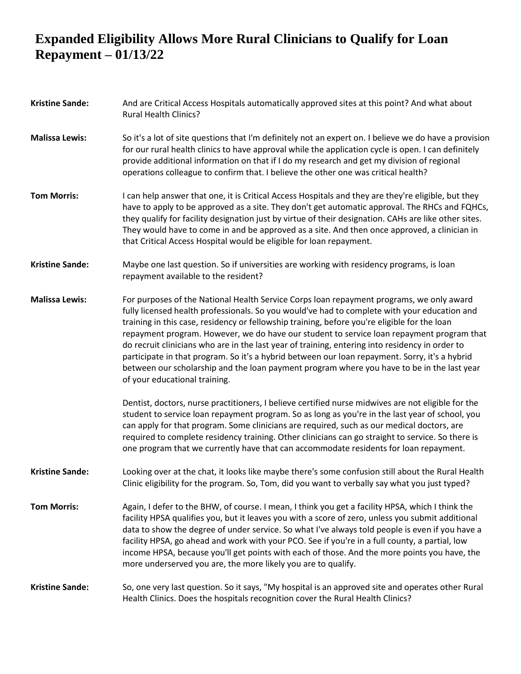| <b>Kristine Sande:</b> | And are Critical Access Hospitals automatically approved sites at this point? And what about<br><b>Rural Health Clinics?</b>                                                                                                                                                                                                                                                                                                                                                                                                                                                                                                                                                                                              |
|------------------------|---------------------------------------------------------------------------------------------------------------------------------------------------------------------------------------------------------------------------------------------------------------------------------------------------------------------------------------------------------------------------------------------------------------------------------------------------------------------------------------------------------------------------------------------------------------------------------------------------------------------------------------------------------------------------------------------------------------------------|
| <b>Malissa Lewis:</b>  | So it's a lot of site questions that I'm definitely not an expert on. I believe we do have a provision<br>for our rural health clinics to have approval while the application cycle is open. I can definitely<br>provide additional information on that if I do my research and get my division of regional<br>operations colleague to confirm that. I believe the other one was critical health?                                                                                                                                                                                                                                                                                                                         |
| <b>Tom Morris:</b>     | I can help answer that one, it is Critical Access Hospitals and they are they're eligible, but they<br>have to apply to be approved as a site. They don't get automatic approval. The RHCs and FQHCs,<br>they qualify for facility designation just by virtue of their designation. CAHs are like other sites.<br>They would have to come in and be approved as a site. And then once approved, a clinician in<br>that Critical Access Hospital would be eligible for loan repayment.                                                                                                                                                                                                                                     |
| <b>Kristine Sande:</b> | Maybe one last question. So if universities are working with residency programs, is loan<br>repayment available to the resident?                                                                                                                                                                                                                                                                                                                                                                                                                                                                                                                                                                                          |
| <b>Malissa Lewis:</b>  | For purposes of the National Health Service Corps loan repayment programs, we only award<br>fully licensed health professionals. So you would've had to complete with your education and<br>training in this case, residency or fellowship training, before you're eligible for the loan<br>repayment program. However, we do have our student to service loan repayment program that<br>do recruit clinicians who are in the last year of training, entering into residency in order to<br>participate in that program. So it's a hybrid between our loan repayment. Sorry, it's a hybrid<br>between our scholarship and the loan payment program where you have to be in the last year<br>of your educational training. |
|                        | Dentist, doctors, nurse practitioners, I believe certified nurse midwives are not eligible for the<br>student to service loan repayment program. So as long as you're in the last year of school, you<br>can apply for that program. Some clinicians are required, such as our medical doctors, are<br>required to complete residency training. Other clinicians can go straight to service. So there is<br>one program that we currently have that can accommodate residents for loan repayment.                                                                                                                                                                                                                         |
| <b>Kristine Sande:</b> | Looking over at the chat, it looks like maybe there's some confusion still about the Rural Health<br>Clinic eligibility for the program. So, Tom, did you want to verbally say what you just typed?                                                                                                                                                                                                                                                                                                                                                                                                                                                                                                                       |
| <b>Tom Morris:</b>     | Again, I defer to the BHW, of course. I mean, I think you get a facility HPSA, which I think the<br>facility HPSA qualifies you, but it leaves you with a score of zero, unless you submit additional<br>data to show the degree of under service. So what I've always told people is even if you have a<br>facility HPSA, go ahead and work with your PCO. See if you're in a full county, a partial, low<br>income HPSA, because you'll get points with each of those. And the more points you have, the<br>more underserved you are, the more likely you are to qualify.                                                                                                                                               |
| <b>Kristine Sande:</b> | So, one very last question. So it says, "My hospital is an approved site and operates other Rural<br>Health Clinics. Does the hospitals recognition cover the Rural Health Clinics?                                                                                                                                                                                                                                                                                                                                                                                                                                                                                                                                       |